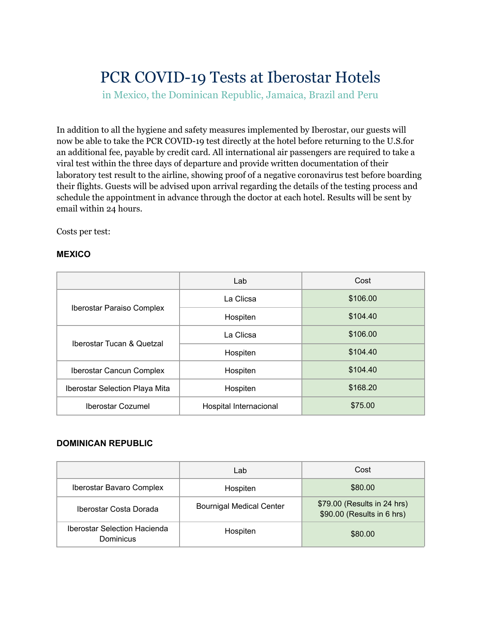# PCR COVID-19 Tests at Iberostar Hotels

in Mexico, the Dominican Republic, Jamaica, Brazil and Peru

In addition to all the hygiene and safety measures implemented by Iberostar, our guests will now be able to take the PCR COVID-19 test directly at the hotel before returning to the U.S.for an additional fee, payable by credit card. All international air passengers are required to take a viral test within the three days of departure and provide written documentation of their laboratory test result to the airline, showing proof of a negative coronavirus test before boarding their flights. Guests will be advised upon arrival regarding the details of the testing process and schedule the appointment in advance through the doctor at each hotel. Results will be sent by email within 24 hours.

Costs per test:

#### **MEXICO**

|                                       | Lab                    | Cost     |
|---------------------------------------|------------------------|----------|
| <b>Iberostar Paraiso Complex</b>      | La Clicsa              | \$106.00 |
|                                       | Hospiten               | \$104.40 |
| Iberostar Tucan & Quetzal             | La Clicsa              | \$106.00 |
|                                       | Hospiten               | \$104.40 |
| Iberostar Cancun Complex              | Hospiten               | \$104.40 |
| <b>Iberostar Selection Playa Mita</b> | Hospiten               | \$168.20 |
| <b>Iberostar Cozumel</b>              | Hospital Internacional | \$75.00  |

#### **DOMINICAN REPUBLIC**

|                                                  | Lab                             | Cost                                                      |
|--------------------------------------------------|---------------------------------|-----------------------------------------------------------|
| Iberostar Bavaro Complex                         | Hospiten                        | \$80.00                                                   |
| Iberostar Costa Dorada                           | <b>Bournigal Medical Center</b> | \$79.00 (Results in 24 hrs)<br>\$90.00 (Results in 6 hrs) |
| <b>Iberostar Selection Hacienda</b><br>Dominicus | Hospiten                        | \$80.00                                                   |